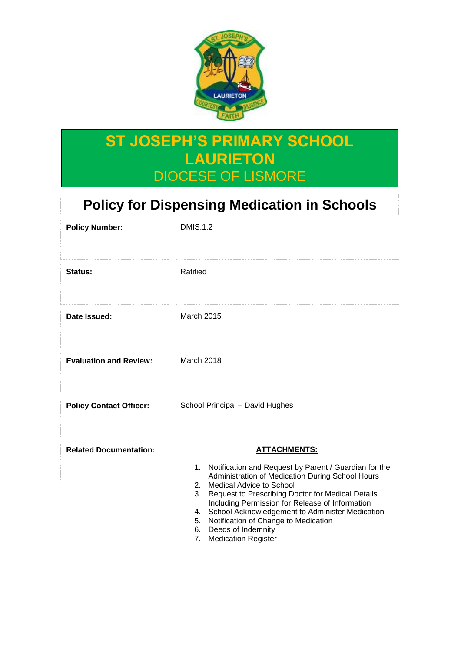

# **ST JOSEPH'S PRIMARY SCHOOL LAURIETON** DIOCESE OF LISMORE

# **Policy for Dispensing Medication in Schools**

| <b>Policy Number:</b>          | <b>DMIS.1.2</b>                                                                                                                                                                                                                                                                                                                                                                                                                                   |  |  |  |  |
|--------------------------------|---------------------------------------------------------------------------------------------------------------------------------------------------------------------------------------------------------------------------------------------------------------------------------------------------------------------------------------------------------------------------------------------------------------------------------------------------|--|--|--|--|
| Status:                        | Ratified                                                                                                                                                                                                                                                                                                                                                                                                                                          |  |  |  |  |
| Date Issued:                   | <b>March 2015</b>                                                                                                                                                                                                                                                                                                                                                                                                                                 |  |  |  |  |
| <b>Evaluation and Review:</b>  | March 2018                                                                                                                                                                                                                                                                                                                                                                                                                                        |  |  |  |  |
| <b>Policy Contact Officer:</b> | School Principal - David Hughes                                                                                                                                                                                                                                                                                                                                                                                                                   |  |  |  |  |
| <b>Related Documentation:</b>  | <b>ATTACHMENTS:</b><br>1. Notification and Request by Parent / Guardian for the<br>Administration of Medication During School Hours<br>2.<br>Medical Advice to School<br>Request to Prescribing Doctor for Medical Details<br>3.<br>Including Permission for Release of Information<br>4. School Acknowledgement to Administer Medication<br>5. Notification of Change to Medication<br>6. Deeds of Indemnity<br><b>Medication Register</b><br>7. |  |  |  |  |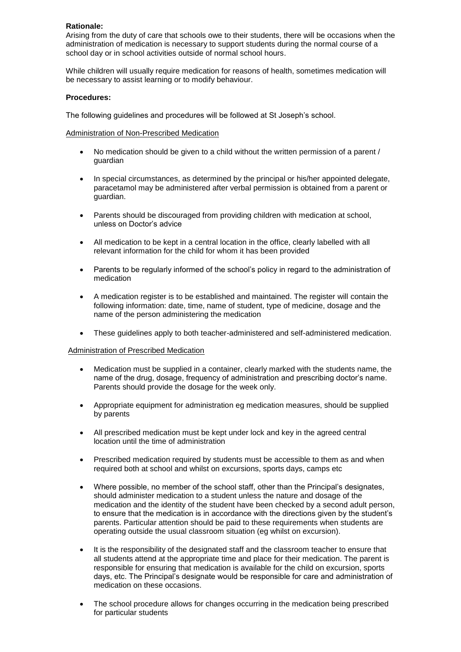### **Rationale:**

Arising from the duty of care that schools owe to their students, there will be occasions when the administration of medication is necessary to support students during the normal course of a school day or in school activities outside of normal school hours.

While children will usually require medication for reasons of health, sometimes medication will be necessary to assist learning or to modify behaviour.

#### **Procedures:**

The following guidelines and procedures will be followed at St Joseph's school.

## Administration of Non-Prescribed Medication

- No medication should be given to a child without the written permission of a parent / guardian
- In special circumstances, as determined by the principal or his/her appointed delegate, paracetamol may be administered after verbal permission is obtained from a parent or guardian.
- Parents should be discouraged from providing children with medication at school, unless on Doctor's advice
- All medication to be kept in a central location in the office, clearly labelled with all relevant information for the child for whom it has been provided
- Parents to be regularly informed of the school's policy in regard to the administration of medication
- A medication register is to be established and maintained. The register will contain the following information: date, time, name of student, type of medicine, dosage and the name of the person administering the medication
- These guidelines apply to both teacher-administered and self-administered medication.

#### Administration of Prescribed Medication

- Medication must be supplied in a container, clearly marked with the students name, the name of the drug, dosage, frequency of administration and prescribing doctor's name. Parents should provide the dosage for the week only.
- Appropriate equipment for administration eg medication measures, should be supplied by parents
- All prescribed medication must be kept under lock and key in the agreed central location until the time of administration
- Prescribed medication required by students must be accessible to them as and when required both at school and whilst on excursions, sports days, camps etc
- Where possible, no member of the school staff, other than the Principal's designates, should administer medication to a student unless the nature and dosage of the medication and the identity of the student have been checked by a second adult person, to ensure that the medication is in accordance with the directions given by the student's parents. Particular attention should be paid to these requirements when students are operating outside the usual classroom situation (eg whilst on excursion).
- It is the responsibility of the designated staff and the classroom teacher to ensure that all students attend at the appropriate time and place for their medication. The parent is responsible for ensuring that medication is available for the child on excursion, sports days, etc. The Principal's designate would be responsible for care and administration of medication on these occasions.
- The school procedure allows for changes occurring in the medication being prescribed for particular students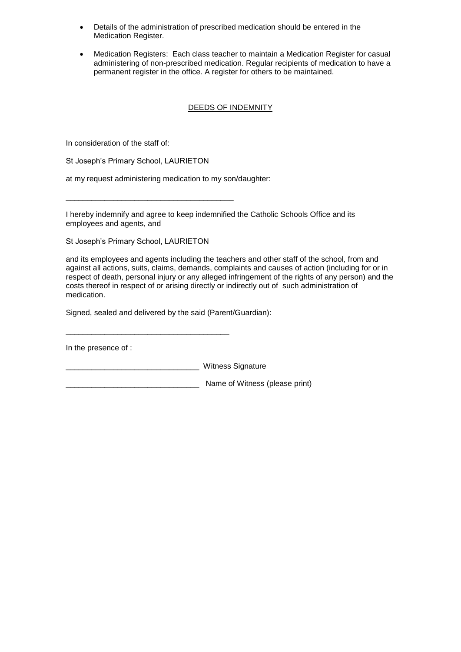- Details of the administration of prescribed medication should be entered in the Medication Register.
- Medication Registers: Each class teacher to maintain a Medication Register for casual administering of non-prescribed medication. Regular recipients of medication to have a permanent register in the office. A register for others to be maintained.

# DEEDS OF INDEMNITY

In consideration of the staff of:

St Joseph's Primary School, LAURIETON

\_\_\_\_\_\_\_\_\_\_\_\_\_\_\_\_\_\_\_\_\_\_\_\_\_\_\_\_\_\_\_\_\_\_\_\_\_\_\_

at my request administering medication to my son/daughter:

I hereby indemnify and agree to keep indemnified the Catholic Schools Office and its employees and agents, and

St Joseph's Primary School, LAURIETON

and its employees and agents including the teachers and other staff of the school, from and against all actions, suits, claims, demands, complaints and causes of action (including for or in respect of death, personal injury or any alleged infringement of the rights of any person) and the costs thereof in respect of or arising directly or indirectly out of such administration of medication.

Signed, sealed and delivered by the said (Parent/Guardian):

\_\_\_\_\_\_\_\_\_\_\_\_\_\_\_\_\_\_\_\_\_\_\_\_\_\_\_\_\_\_\_\_\_\_\_\_\_\_

In the presence of :

\_\_\_\_\_\_\_\_\_\_\_\_\_\_\_\_\_\_\_\_\_\_\_\_\_\_\_\_\_\_\_ Witness Signature

\_\_\_\_\_\_\_\_\_\_\_\_\_\_\_\_\_\_\_\_\_\_\_\_\_\_\_\_\_\_\_ Name of Witness (please print)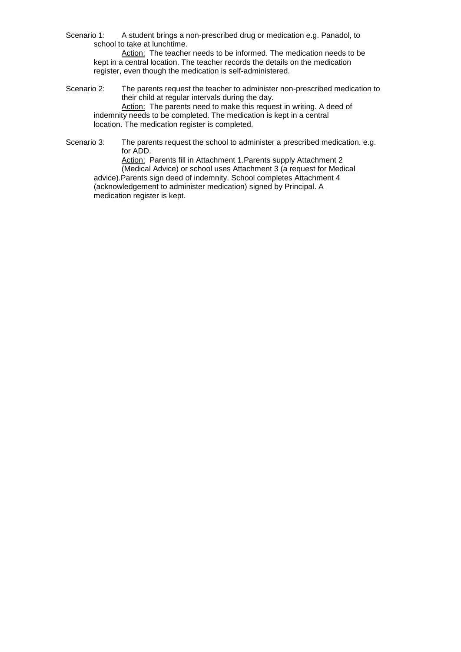Scenario 1: A student brings a non-prescribed drug or medication e.g. Panadol, to school to take at lunchtime.

Action: The teacher needs to be informed. The medication needs to be kept in a central location. The teacher records the details on the medication register, even though the medication is self-administered.

- Scenario 2: The parents request the teacher to administer non-prescribed medication to their child at regular intervals during the day. Action: The parents need to make this request in writing. A deed of indemnity needs to be completed. The medication is kept in a central location. The medication register is completed.
- Scenario 3: The parents request the school to administer a prescribed medication. e.g. for ADD.

Action: Parents fill in Attachment 1.Parents supply Attachment 2 (Medical Advice) or school uses Attachment 3 (a request for Medical advice).Parents sign deed of indemnity. School completes Attachment 4 (acknowledgement to administer medication) signed by Principal. A medication register is kept.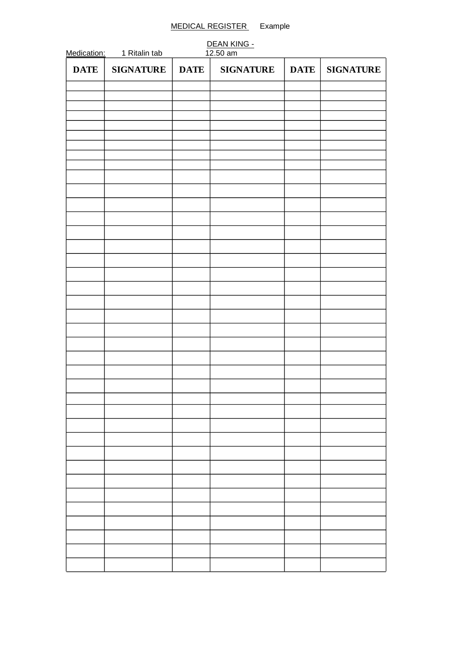# MEDICAL REGISTER Example

| Medication: | 1 Ritalin tab    |             | DEAN KING -<br>12.50 am |             |                  |
|-------------|------------------|-------------|-------------------------|-------------|------------------|
| <b>DATE</b> | <b>SIGNATURE</b> | <b>DATE</b> | <b>SIGNATURE</b>        | <b>DATE</b> | <b>SIGNATURE</b> |
|             |                  |             |                         |             |                  |
|             |                  |             |                         |             |                  |
|             |                  |             |                         |             |                  |
|             |                  |             |                         |             |                  |
|             |                  |             |                         |             |                  |
|             |                  |             |                         |             |                  |
|             |                  |             |                         |             |                  |
|             |                  |             |                         |             |                  |
|             |                  |             |                         |             |                  |
|             |                  |             |                         |             |                  |
|             |                  |             |                         |             |                  |
|             |                  |             |                         |             |                  |
|             |                  |             |                         |             |                  |
|             |                  |             |                         |             |                  |
|             |                  |             |                         |             |                  |
|             |                  |             |                         |             |                  |
|             |                  |             |                         |             |                  |
|             |                  |             |                         |             |                  |
|             |                  |             |                         |             |                  |
|             |                  |             |                         |             |                  |
|             |                  |             |                         |             |                  |
|             |                  |             |                         |             |                  |
|             |                  |             |                         |             |                  |
|             |                  |             |                         |             |                  |
|             |                  |             |                         |             |                  |
|             |                  |             |                         |             |                  |
|             |                  |             |                         |             |                  |
|             |                  |             |                         |             |                  |
|             |                  |             |                         |             |                  |
|             |                  |             |                         |             |                  |
|             |                  |             |                         |             |                  |
|             |                  |             |                         |             |                  |
|             |                  |             |                         |             |                  |
|             |                  |             |                         |             |                  |
|             |                  |             |                         |             |                  |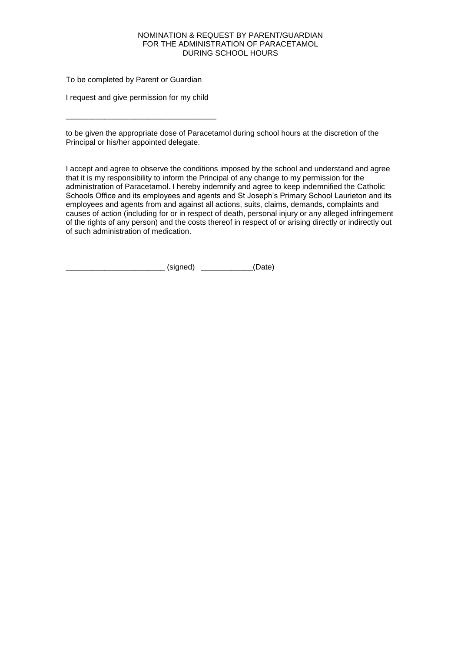#### NOMINATION & REQUEST BY PARENT/GUARDIAN FOR THE ADMINISTRATION OF PARACETAMOL DURING SCHOOL HOURS

To be completed by Parent or Guardian

I request and give permission for my child

\_\_\_\_\_\_\_\_\_\_\_\_\_\_\_\_\_\_\_\_\_\_\_\_\_\_\_\_\_\_\_\_\_\_\_

to be given the appropriate dose of Paracetamol during school hours at the discretion of the Principal or his/her appointed delegate.

I accept and agree to observe the conditions imposed by the school and understand and agree that it is my responsibility to inform the Principal of any change to my permission for the administration of Paracetamol. I hereby indemnify and agree to keep indemnified the Catholic Schools Office and its employees and agents and St Joseph's Primary School Laurieton and its employees and agents from and against all actions, suits, claims, demands, complaints and causes of action (including for or in respect of death, personal injury or any alleged infringement of the rights of any person) and the costs thereof in respect of or arising directly or indirectly out of such administration of medication.

(signed) (Date)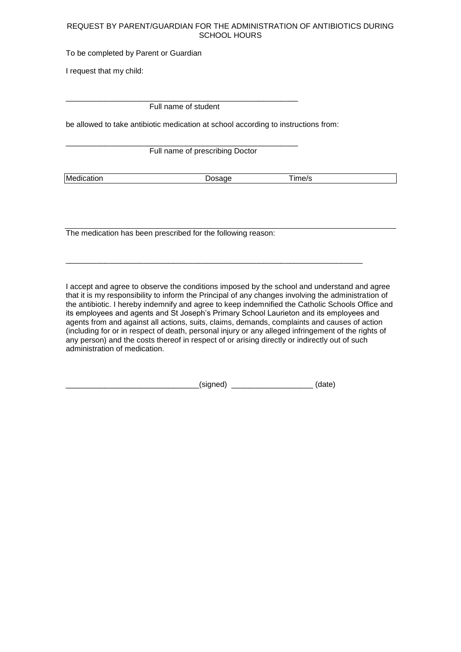## REQUEST BY PARENT/GUARDIAN FOR THE ADMINISTRATION OF ANTIBIOTICS DURING SCHOOL HOURS

To be completed by Parent or Guardian

I request that my child:

\_\_\_\_\_\_\_\_\_\_\_\_\_\_\_\_\_\_\_\_\_\_\_\_\_\_\_\_\_\_\_\_\_\_\_\_\_\_\_\_\_\_\_\_\_\_\_\_\_\_\_\_\_\_ Full name of student

be allowed to take antibiotic medication at school according to instructions from:

\_\_\_\_\_\_\_\_\_\_\_\_\_\_\_\_\_\_\_\_\_\_\_\_\_\_\_\_\_\_\_\_\_\_\_\_\_\_\_\_\_\_\_\_\_\_\_\_\_\_\_\_\_\_ Full name of prescribing Doctor

Medication Dosage Time/s

The medication has been prescribed for the following reason:

I accept and agree to observe the conditions imposed by the school and understand and agree that it is my responsibility to inform the Principal of any changes involving the administration of the antibiotic. I hereby indemnify and agree to keep indemnified the Catholic Schools Office and its employees and agents and St Joseph's Primary School Laurieton and its employees and agents from and against all actions, suits, claims, demands, complaints and causes of action (including for or in respect of death, personal injury or any alleged infringement of the rights of any person) and the costs thereof in respect of or arising directly or indirectly out of such administration of medication.

\_\_\_\_\_\_\_\_\_\_\_\_\_\_\_\_\_\_\_\_\_\_\_\_\_\_\_\_\_\_\_\_\_\_\_\_\_\_\_\_\_\_\_\_\_\_\_\_\_\_\_\_\_\_\_\_\_\_\_\_\_\_\_\_\_\_\_\_\_

| . .<br>. . |  |  |
|------------|--|--|
|            |  |  |